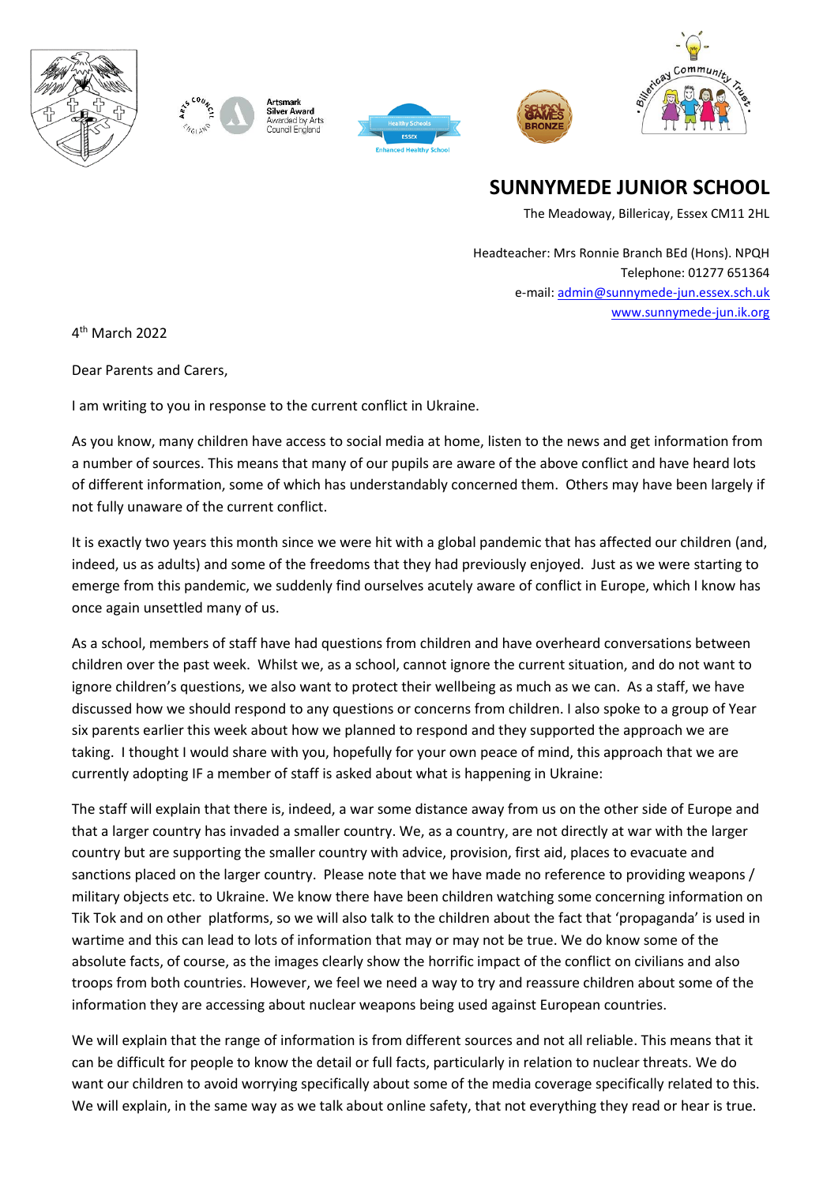



Silver Award warded by Arts Council England





**SUNNYMEDE JUNIOR SCHOOL**

The Meadoway, Billericay, Essex CM11 2HL

Headteacher: Mrs Ronnie Branch BEd (Hons). NPQH Telephone: 01277 651364 e-mail[: admin@sunnymede-jun.essex.sch.uk](mailto:admin@sunnymede-jun.essex.sch.uk) [www.sunnymede-jun.ik.org](http://www.sunnymede-jun.ik.org/)

4 th March 2022

Dear Parents and Carers,

I am writing to you in response to the current conflict in Ukraine.

As you know, many children have access to social media at home, listen to the news and get information from a number of sources. This means that many of our pupils are aware of the above conflict and have heard lots of different information, some of which has understandably concerned them. Others may have been largely if not fully unaware of the current conflict.

It is exactly two years this month since we were hit with a global pandemic that has affected our children (and, indeed, us as adults) and some of the freedoms that they had previously enjoyed. Just as we were starting to emerge from this pandemic, we suddenly find ourselves acutely aware of conflict in Europe, which I know has once again unsettled many of us.

As a school, members of staff have had questions from children and have overheard conversations between children over the past week. Whilst we, as a school, cannot ignore the current situation, and do not want to ignore children's questions, we also want to protect their wellbeing as much as we can. As a staff, we have discussed how we should respond to any questions or concerns from children. I also spoke to a group of Year six parents earlier this week about how we planned to respond and they supported the approach we are taking. I thought I would share with you, hopefully for your own peace of mind, this approach that we are currently adopting IF a member of staff is asked about what is happening in Ukraine:

The staff will explain that there is, indeed, a war some distance away from us on the other side of Europe and that a larger country has invaded a smaller country. We, as a country, are not directly at war with the larger country but are supporting the smaller country with advice, provision, first aid, places to evacuate and sanctions placed on the larger country. Please note that we have made no reference to providing weapons / military objects etc. to Ukraine. We know there have been children watching some concerning information on Tik Tok and on other platforms, so we will also talk to the children about the fact that 'propaganda' is used in wartime and this can lead to lots of information that may or may not be true. We do know some of the absolute facts, of course, as the images clearly show the horrific impact of the conflict on civilians and also troops from both countries. However, we feel we need a way to try and reassure children about some of the information they are accessing about nuclear weapons being used against European countries.

We will explain that the range of information is from different sources and not all reliable. This means that it can be difficult for people to know the detail or full facts, particularly in relation to nuclear threats. We do want our children to avoid worrying specifically about some of the media coverage specifically related to this. We will explain, in the same way as we talk about online safety, that not everything they read or hear is true.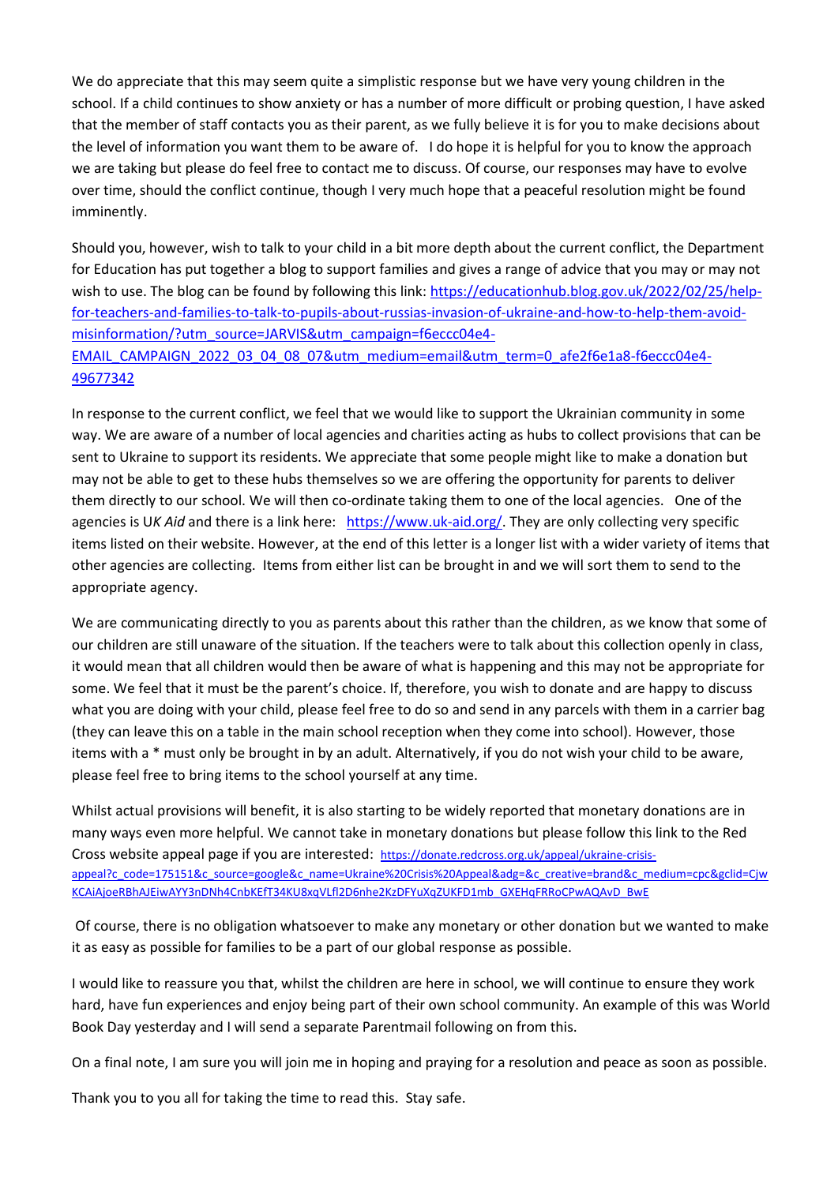We do appreciate that this may seem quite a simplistic response but we have very young children in the school. If a child continues to show anxiety or has a number of more difficult or probing question, I have asked that the member of staff contacts you as their parent, as we fully believe it is for you to make decisions about the level of information you want them to be aware of. I do hope it is helpful for you to know the approach we are taking but please do feel free to contact me to discuss. Of course, our responses may have to evolve over time, should the conflict continue, though I very much hope that a peaceful resolution might be found imminently.

Should you, however, wish to talk to your child in a bit more depth about the current conflict, the Department for Education has put together a blog to support families and gives a range of advice that you may or may not wish to use. The blog can be found by following this link[: https://educationhub.blog.gov.uk/2022/02/25/help](https://educationhub.blog.gov.uk/2022/02/25/help-for-teachers-and-families-to-talk-to-pupils-about-russias-invasion-of-ukraine-and-how-to-help-them-avoid-misinformation/?utm_source=JARVIS&utm_campaign=f6eccc04e4-EMAIL_CAMPAIGN_2022_03_04_08_07&utm_medium=email&utm_term=0_afe2f6e1a8-f6eccc04e4-49677342)[for-teachers-and-families-to-talk-to-pupils-about-russias-invasion-of-ukraine-and-how-to-help-them-avoid](https://educationhub.blog.gov.uk/2022/02/25/help-for-teachers-and-families-to-talk-to-pupils-about-russias-invasion-of-ukraine-and-how-to-help-them-avoid-misinformation/?utm_source=JARVIS&utm_campaign=f6eccc04e4-EMAIL_CAMPAIGN_2022_03_04_08_07&utm_medium=email&utm_term=0_afe2f6e1a8-f6eccc04e4-49677342)[misinformation/?utm\\_source=JARVIS&utm\\_campaign=f6eccc04e4-](https://educationhub.blog.gov.uk/2022/02/25/help-for-teachers-and-families-to-talk-to-pupils-about-russias-invasion-of-ukraine-and-how-to-help-them-avoid-misinformation/?utm_source=JARVIS&utm_campaign=f6eccc04e4-EMAIL_CAMPAIGN_2022_03_04_08_07&utm_medium=email&utm_term=0_afe2f6e1a8-f6eccc04e4-49677342) [EMAIL\\_CAMPAIGN\\_2022\\_03\\_04\\_08\\_07&utm\\_medium=email&utm\\_term=0\\_afe2f6e1a8-f6eccc04e4-](https://educationhub.blog.gov.uk/2022/02/25/help-for-teachers-and-families-to-talk-to-pupils-about-russias-invasion-of-ukraine-and-how-to-help-them-avoid-misinformation/?utm_source=JARVIS&utm_campaign=f6eccc04e4-EMAIL_CAMPAIGN_2022_03_04_08_07&utm_medium=email&utm_term=0_afe2f6e1a8-f6eccc04e4-49677342)

[49677342](https://educationhub.blog.gov.uk/2022/02/25/help-for-teachers-and-families-to-talk-to-pupils-about-russias-invasion-of-ukraine-and-how-to-help-them-avoid-misinformation/?utm_source=JARVIS&utm_campaign=f6eccc04e4-EMAIL_CAMPAIGN_2022_03_04_08_07&utm_medium=email&utm_term=0_afe2f6e1a8-f6eccc04e4-49677342)

In response to the current conflict, we feel that we would like to support the Ukrainian community in some way. We are aware of a number of local agencies and charities acting as hubs to collect provisions that can be sent to Ukraine to support its residents. We appreciate that some people might like to make a donation but may not be able to get to these hubs themselves so we are offering the opportunity for parents to deliver them directly to our school. We will then co-ordinate taking them to one of the local agencies. One of the agencies is U*K Aid* and there is a link here: [https://www.uk-aid.org/.](https://www.uk-aid.org/) They are only collecting very specific items listed on their website. However, at the end of this letter is a longer list with a wider variety of items that other agencies are collecting. Items from either list can be brought in and we will sort them to send to the appropriate agency.

We are communicating directly to you as parents about this rather than the children, as we know that some of our children are still unaware of the situation. If the teachers were to talk about this collection openly in class, it would mean that all children would then be aware of what is happening and this may not be appropriate for some. We feel that it must be the parent's choice. If, therefore, you wish to donate and are happy to discuss what you are doing with your child, please feel free to do so and send in any parcels with them in a carrier bag (they can leave this on a table in the main school reception when they come into school). However, those items with a \* must only be brought in by an adult. Alternatively, if you do not wish your child to be aware, please feel free to bring items to the school yourself at any time.

Whilst actual provisions will benefit, it is also starting to be widely reported that monetary donations are in many ways even more helpful. We cannot take in monetary donations but please follow this link to the Red Cross website appeal page if you are interested: [https://donate.redcross.org.uk/appeal/ukraine-crisis](https://donate.redcross.org.uk/appeal/ukraine-crisis-appeal?c_code=175151&c_source=google&c_name=Ukraine%20Crisis%20Appeal&adg=&c_creative=brand&c_medium=cpc&gclid=CjwKCAiAjoeRBhAJEiwAYY3nDNh4CnbKEfT34KU8xqVLfl2D6nhe2KzDFYuXqZUKFD1mb_GXEHqFRRoCPwAQAvD_BwE)[appeal?c\\_code=175151&c\\_source=google&c\\_name=Ukraine%20Crisis%20Appeal&adg=&c\\_creative=brand&c\\_medium=cpc&gclid=Cjw](https://donate.redcross.org.uk/appeal/ukraine-crisis-appeal?c_code=175151&c_source=google&c_name=Ukraine%20Crisis%20Appeal&adg=&c_creative=brand&c_medium=cpc&gclid=CjwKCAiAjoeRBhAJEiwAYY3nDNh4CnbKEfT34KU8xqVLfl2D6nhe2KzDFYuXqZUKFD1mb_GXEHqFRRoCPwAQAvD_BwE) [KCAiAjoeRBhAJEiwAYY3nDNh4CnbKEfT34KU8xqVLfl2D6nhe2KzDFYuXqZUKFD1mb\\_GXEHqFRRoCPwAQAvD\\_BwE](https://donate.redcross.org.uk/appeal/ukraine-crisis-appeal?c_code=175151&c_source=google&c_name=Ukraine%20Crisis%20Appeal&adg=&c_creative=brand&c_medium=cpc&gclid=CjwKCAiAjoeRBhAJEiwAYY3nDNh4CnbKEfT34KU8xqVLfl2D6nhe2KzDFYuXqZUKFD1mb_GXEHqFRRoCPwAQAvD_BwE)

Of course, there is no obligation whatsoever to make any monetary or other donation but we wanted to make it as easy as possible for families to be a part of our global response as possible.

I would like to reassure you that, whilst the children are here in school, we will continue to ensure they work hard, have fun experiences and enjoy being part of their own school community. An example of this was World Book Day yesterday and I will send a separate Parentmail following on from this.

On a final note, I am sure you will join me in hoping and praying for a resolution and peace as soon as possible.

Thank you to you all for taking the time to read this. Stay safe.